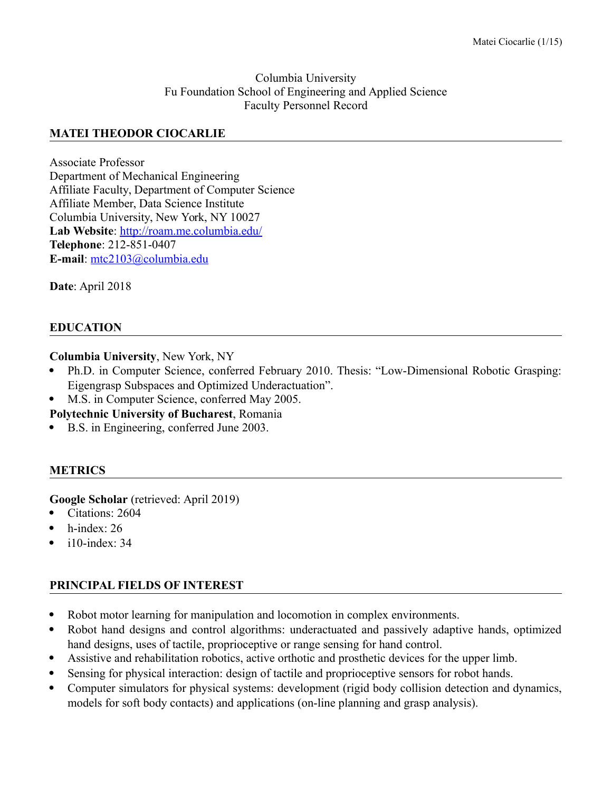#### Columbia University Fu Foundation School of Engineering and Applied Science Faculty Personnel Record

### **MATEI THEODOR CIOCARLIE**

Associate Professor Department of Mechanical Engineering Affiliate Faculty, Department of Computer Science Affiliate Member, Data Science Institute Columbia University, New York, NY 10027 **Lab Website**:<http://roam.me.columbia.edu/> **Telephone**: 212-851-0407 **E-mail**: [mtc2103@columbia.edu](mailto:mtc2103@columbia.edu)

**Date**: April 2018

### **EDUCATION**

**Columbia University**, New York, NY

- Ph.D. in Computer Science, conferred February 2010. Thesis: "Low-Dimensional Robotic Grasping: Eigengrasp Subspaces and Optimized Underactuation".
- M.S. in Computer Science, conferred May 2005.

**Polytechnic University of Bucharest**, Romania

B.S. in Engineering, conferred June 2003.

### **METRICS**

**Google Scholar** (retrieved: April 2019)

- Citations: 2604
- h-index: 26
- $\bullet$  i10-index: 34

# **PRINCIPAL FIELDS OF INTEREST**

- Robot motor learning for manipulation and locomotion in complex environments.
- Robot hand designs and control algorithms: underactuated and passively adaptive hands, optimized hand designs, uses of tactile, proprioceptive or range sensing for hand control.
- Assistive and rehabilitation robotics, active orthotic and prosthetic devices for the upper limb.
- Sensing for physical interaction: design of tactile and proprioceptive sensors for robot hands.
- Computer simulators for physical systems: development (rigid body collision detection and dynamics, models for soft body contacts) and applications (on-line planning and grasp analysis).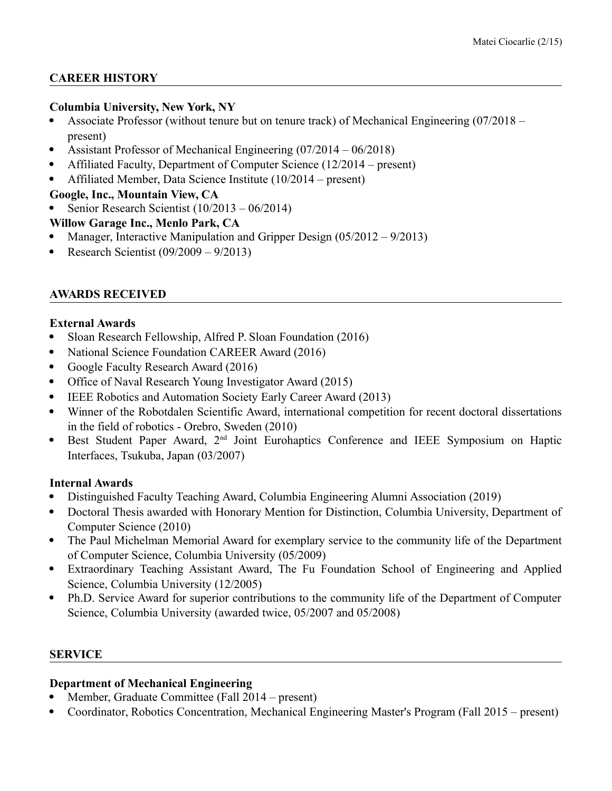# **CAREER HISTORY**

### **Columbia University, New York, NY**

- Associate Professor (without tenure but on tenure track) of Mechanical Engineering (07/2018 present)
- Assistant Professor of Mechanical Engineering (07/2014 06/2018)
- Affiliated Faculty, Department of Computer Science (12/2014 present)
- Affiliated Member, Data Science Institute (10/2014 present)
- **Google, Inc., Mountain View, CA**
- Senior Research Scientist (10/2013 06/2014)

# **Willow Garage Inc., Menlo Park, CA**

- Manager, Interactive Manipulation and Gripper Design (05/2012 9/2013)
- Research Scientist (09/2009 9/2013)

# **AWARDS RECEIVED**

### **External Awards**

- Sloan Research Fellowship, Alfred P. Sloan Foundation (2016)
- National Science Foundation CAREER Award (2016)
- Google Faculty Research Award (2016)
- Office of Naval Research Young Investigator Award (2015)
- IEEE Robotics and Automation Society Early Career Award (2013)
- Winner of the Robotdalen Scientific Award, international competition for recent doctoral dissertations in the field of robotics - Orebro, Sweden (2010)
- Best Student Paper Award, 2<sup>nd</sup> Joint Eurohaptics Conference and IEEE Symposium on Haptic Interfaces, Tsukuba, Japan (03/2007)

# **Internal Awards**

- Distinguished Faculty Teaching Award, Columbia Engineering Alumni Association (2019)
- Doctoral Thesis awarded with Honorary Mention for Distinction, Columbia University, Department of Computer Science (2010)
- The Paul Michelman Memorial Award for exemplary service to the community life of the Department of Computer Science, Columbia University (05/2009)
- Extraordinary Teaching Assistant Award, The Fu Foundation School of Engineering and Applied Science, Columbia University (12/2005)
- Ph.D. Service Award for superior contributions to the community life of the Department of Computer Science, Columbia University (awarded twice, 05/2007 and 05/2008)

# **SERVICE**

# **Department of Mechanical Engineering**

- Member, Graduate Committee (Fall 2014 present)
- Coordinator, Robotics Concentration, Mechanical Engineering Master's Program (Fall 2015 present)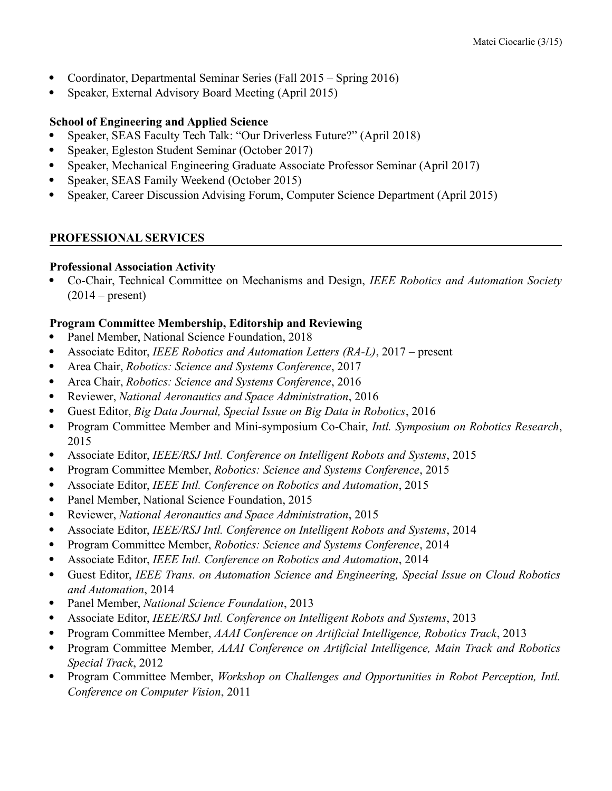- Coordinator, Departmental Seminar Series (Fall 2015 Spring 2016)
- Speaker, External Advisory Board Meeting (April 2015)

### **School of Engineering and Applied Science**

- Speaker, SEAS Faculty Tech Talk: "Our Driverless Future?" (April 2018)
- Speaker, Egleston Student Seminar (October 2017)
- Speaker, Mechanical Engineering Graduate Associate Professor Seminar (April 2017)
- Speaker, SEAS Family Weekend (October 2015)
- Speaker, Career Discussion Advising Forum, Computer Science Department (April 2015)

### **PROFESSIONAL SERVICES**

### **Professional Association Activity**

 Co-Chair, Technical Committee on Mechanisms and Design, *IEEE Robotics and Automation Society*  $(2014 - present)$ 

### **Program Committee Membership, Editorship and Reviewing**

- Panel Member, National Science Foundation, 2018
- Associate Editor, *IEEE Robotics and Automation Letters (RA-L)*, 2017 present
- Area Chair, *Robotics: Science and Systems Conference*, 2017
- Area Chair, *Robotics: Science and Systems Conference*, 2016
- Reviewer, *National Aeronautics and Space Administration*, 2016
- Guest Editor, *Big Data Journal, Special Issue on Big Data in Robotics*, 2016
- Program Committee Member and Mini-symposium Co-Chair, *Intl. Symposium on Robotics Research*, 2015
- Associate Editor, *IEEE/RSJ Intl. Conference on Intelligent Robots and Systems*, 2015
- Program Committee Member, *Robotics: Science and Systems Conference*, 2015
- Associate Editor, *IEEE Intl. Conference on Robotics and Automation*, 2015
- Panel Member, National Science Foundation, 2015
- Reviewer, *National Aeronautics and Space Administration*, 2015
- Associate Editor, *IEEE/RSJ Intl. Conference on Intelligent Robots and Systems*, 2014
- Program Committee Member, *Robotics: Science and Systems Conference*, 2014
- Associate Editor, *IEEE Intl. Conference on Robotics and Automation*, 2014
- Guest Editor, *IEEE Trans. on Automation Science and Engineering, Special Issue on Cloud Robotics and Automation*, 2014
- Panel Member, *National Science Foundation*, 2013
- Associate Editor, *IEEE/RSJ Intl. Conference on Intelligent Robots and Systems*, 2013
- Program Committee Member, *AAAI Conference on Artificial Intelligence, Robotics Track*, 2013
- Program Committee Member, *AAAI Conference on Artificial Intelligence, Main Track and Robotics Special Track*, 2012
- Program Committee Member, *Workshop on Challenges and Opportunities in Robot Perception, Intl. Conference on Computer Vision*, 2011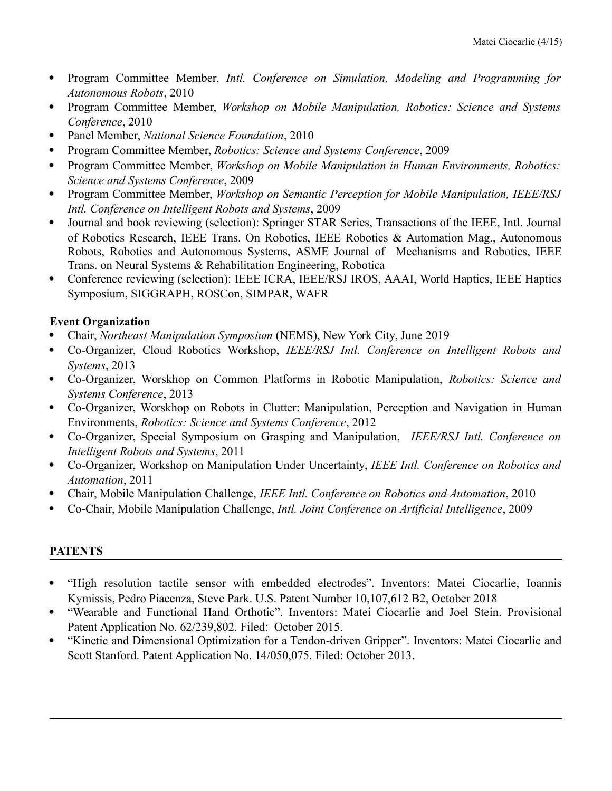- Program Committee Member, *Intl. Conference on Simulation, Modeling and Programming for Autonomous Robots*, 2010
- Program Committee Member, *Workshop on Mobile Manipulation, Robotics: Science and Systems Conference*, 2010
- Panel Member, *National Science Foundation*, 2010
- Program Committee Member, *Robotics: Science and Systems Conference*, 2009
- Program Committee Member, *Workshop on Mobile Manipulation in Human Environments, Robotics: Science and Systems Conference*, 2009
- Program Committee Member, *Workshop on Semantic Perception for Mobile Manipulation, IEEE/RSJ Intl. Conference on Intelligent Robots and Systems*, 2009
- Journal and book reviewing (selection): Springer STAR Series, Transactions of the IEEE, Intl. Journal of Robotics Research, IEEE Trans. On Robotics, IEEE Robotics & Automation Mag., Autonomous Robots, Robotics and Autonomous Systems, ASME Journal of Mechanisms and Robotics, IEEE Trans. on Neural Systems & Rehabilitation Engineering, Robotica
- Conference reviewing (selection): IEEE ICRA, IEEE/RSJ IROS, AAAI, World Haptics, IEEE Haptics Symposium, SIGGRAPH, ROSCon, SIMPAR, WAFR

### **Event Organization**

- Chair, *Northeast Manipulation Symposium* (NEMS), New York City, June 2019
- Co-Organizer, Cloud Robotics Workshop, *IEEE/RSJ Intl. Conference on Intelligent Robots and Systems*, 2013
- Co-Organizer, Worskhop on Common Platforms in Robotic Manipulation, *Robotics: Science and Systems Conference*, 2013
- Co-Organizer, Worskhop on Robots in Clutter: Manipulation, Perception and Navigation in Human Environments, *Robotics: Science and Systems Conference*, 2012
- Co-Organizer, Special Symposium on Grasping and Manipulation, *IEEE/RSJ Intl. Conference on Intelligent Robots and Systems*, 2011
- Co-Organizer, Workshop on Manipulation Under Uncertainty, *IEEE Intl. Conference on Robotics and Automation*, 2011
- Chair, Mobile Manipulation Challenge, *IEEE Intl. Conference on Robotics and Automation*, 2010
- Co-Chair, Mobile Manipulation Challenge, *Intl. Joint Conference on Artificial Intelligence*, 2009

# **PATENTS**

- "High resolution tactile sensor with embedded electrodes". Inventors: Matei Ciocarlie, Ioannis Kymissis, Pedro Piacenza, Steve Park. U.S. Patent Number 10,107,612 B2, October 2018
- "Wearable and Functional Hand Orthotic". Inventors: Matei Ciocarlie and Joel Stein. Provisional Patent Application No. 62/239,802. Filed: October 2015.
- "Kinetic and Dimensional Optimization for a Tendon-driven Gripper". Inventors: Matei Ciocarlie and Scott Stanford. Patent Application No. 14/050,075. Filed: October 2013.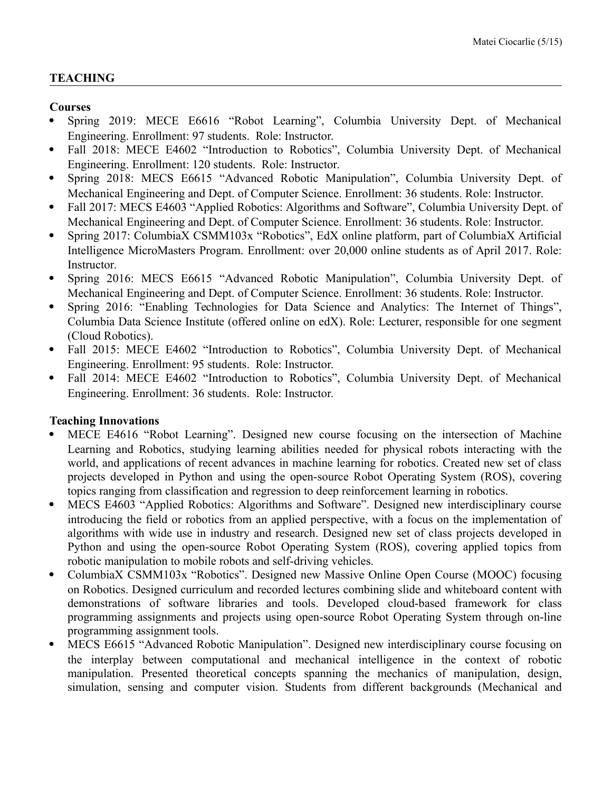### **TEACHING**

### **Courses**

- Spring 2019: MECE E6616 "Robot Learning", Columbia University Dept. of Mechanical Engineering. Enrollment: 97 students. Role: Instructor.
- Fall 2018: MECE E4602 "Introduction to Robotics", Columbia University Dept. of Mechanical Engineering. Enrollment: 120 students. Role: Instructor.
- Spring 2018: MECS E6615 "Advanced Robotic Manipulation", Columbia University Dept. of Mechanical Engineering and Dept. of Computer Science. Enrollment: 36 students. Role: Instructor.
- Fall 2017: MECS E4603 "Applied Robotics: Algorithms and Software", Columbia University Dept. of Mechanical Engineering and Dept. of Computer Science. Enrollment: 36 students. Role: Instructor.
- Spring 2017: ColumbiaX CSMM103x "Robotics", EdX online platform, part of ColumbiaX Artificial Intelligence MicroMasters Program. Enrollment: over 20,000 online students as of April 2017. Role: Instructor.
- Spring 2016: MECS E6615 "Advanced Robotic Manipulation", Columbia University Dept. of Mechanical Engineering and Dept. of Computer Science. Enrollment: 36 students. Role: Instructor.
- Spring 2016: "Enabling Technologies for Data Science and Analytics: The Internet of Things", Columbia Data Science Institute (offered online on edX). Role: Lecturer, responsible for one segment (Cloud Robotics).
- Fall 2015: MECE E4602 "Introduction to Robotics", Columbia University Dept. of Mechanical Engineering. Enrollment: 95 students. Role: Instructor.
- Fall 2014: MECE E4602 "Introduction to Robotics", Columbia University Dept. of Mechanical Engineering. Enrollment: 36 students. Role: Instructor.

# **Teaching Innovations**

- MECE E4616 "Robot Learning". Designed new course focusing on the intersection of Machine Learning and Robotics, studying learning abilities needed for physical robots interacting with the world, and applications of recent advances in machine learning for robotics. Created new set of class projects developed in Python and using the open-source Robot Operating System (ROS), covering topics ranging from classification and regression to deep reinforcement learning in robotics.
- MECS E4603 "Applied Robotics: Algorithms and Software". Designed new interdisciplinary course introducing the field or robotics from an applied perspective, with a focus on the implementation of algorithms with wide use in industry and research. Designed new set of class projects developed in Python and using the open-source Robot Operating System (ROS), covering applied topics from robotic manipulation to mobile robots and self-driving vehicles.
- ColumbiaX CSMM103x "Robotics". Designed new Massive Online Open Course (MOOC) focusing on Robotics. Designed curriculum and recorded lectures combining slide and whiteboard content with demonstrations of software libraries and tools. Developed cloud-based framework for class programming assignments and projects using open-source Robot Operating System through on-line programming assignment tools.
- MECS E6615 "Advanced Robotic Manipulation". Designed new interdisciplinary course focusing on the interplay between computational and mechanical intelligence in the context of robotic manipulation. Presented theoretical concepts spanning the mechanics of manipulation, design, simulation, sensing and computer vision. Students from different backgrounds (Mechanical and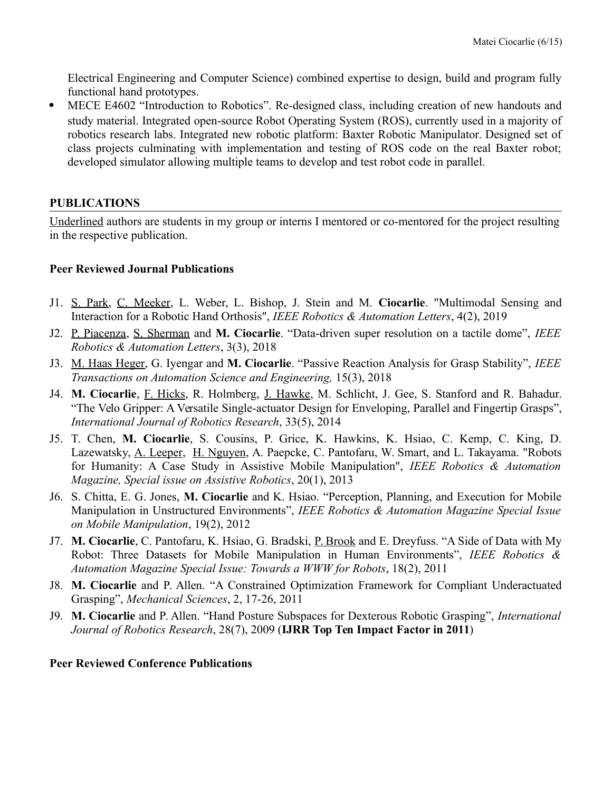Electrical Engineering and Computer Science) combined expertise to design, build and program fully functional hand prototypes.

 MECE E4602 "Introduction to Robotics". Re-designed class, including creation of new handouts and study material. Integrated open-source Robot Operating System (ROS), currently used in a majority of robotics research labs. Integrated new robotic platform: Baxter Robotic Manipulator. Designed set of class projects culminating with implementation and testing of ROS code on the real Baxter robot; developed simulator allowing multiple teams to develop and test robot code in parallel.

### **PUBLICATIONS**

Underlined authors are students in my group or interns I mentored or co-mentored for the project resulting in the respective publication.

#### **Peer Reviewed Journal Publications**

- J1. S. Park, C. Meeker, L. Weber, L. Bishop, J. Stein and M. **Ciocarlie**. "Multimodal Sensing and Interaction for a Robotic Hand Orthosis", *IEEE Robotics & Automation Letters*, 4(2), 2019
- J2. P. Piacenza, S. Sherman and **M. Ciocarlie**. "Data-driven super resolution on a tactile dome", *IEEE Robotics & Automation Letters*, 3(3), 2018
- J3. M. Haas Heger, G. Iyengar and **M. Ciocarlie**. "Passive Reaction Analysis for Grasp Stability", *IEEE Transactions on Automation Science and Engineering,* 15(3), 2018
- J4. **M. Ciocarlie**, F. Hicks, R. Holmberg, J. Hawke, M. Schlicht, J. Gee, S. Stanford and R. Bahadur. "The Velo Gripper: A Versatile Single-actuator Design for Enveloping, Parallel and Fingertip Grasps", *International Journal of Robotics Research*, 33(5), 2014
- J5. T. Chen, **M. Ciocarlie**, S. Cousins, P. Grice, K. Hawkins, K. Hsiao, C. Kemp, C. King, D. Lazewatsky, A. Leeper, H. Nguyen, A. Paepcke, C. Pantofaru, W. Smart, and L. Takayama. "Robots for Humanity: A Case Study in Assistive Mobile Manipulation", *IEEE Robotics & Automation Magazine, Special issue on Assistive Robotics*, 20(1), 2013
- J6. S. Chitta, E. G. Jones, **M. Ciocarlie** and K. Hsiao. "Perception, Planning, and Execution for Mobile Manipulation in Unstructured Environments", *IEEE Robotics & Automation Magazine Special Issue on Mobile Manipulation*, 19(2), 2012
- J7. **M. Ciocarlie**, C. Pantofaru, K. Hsiao, G. Bradski, P. Brook and E. Dreyfuss. "A Side of Data with My Robot: Three Datasets for Mobile Manipulation in Human Environments", *IEEE Robotics & Automation Magazine Special Issue: Towards a WWW for Robots*, 18(2), 2011
- J8. **M. Ciocarlie** and P. Allen. "A Constrained Optimization Framework for Compliant Underactuated Grasping", *Mechanical Sciences*, 2, 17-26, 2011
- J9. **M. Ciocarlie** and P. Allen. "Hand Posture Subspaces for Dexterous Robotic Grasping", *International Journal of Robotics Research*, 28(7), 2009 (**IJRR Top Ten Impact Factor in 2011**)

#### **Peer Reviewed Conference Publications**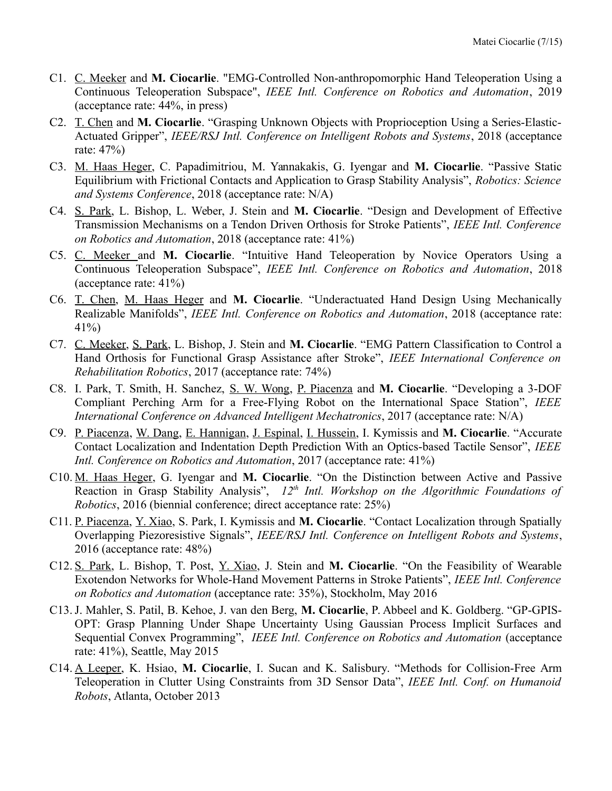- C1. C. Meeker and **M. Ciocarlie**. "EMG-Controlled Non-anthropomorphic Hand Teleoperation Using a Continuous Teleoperation Subspace", *IEEE Intl. Conference on Robotics and Automation*, 2019 (acceptance rate: 44%, in press)
- C2. T. Chen and **M. Ciocarlie**. "Grasping Unknown Objects with Proprioception Using a Series-Elastic-Actuated Gripper", *IEEE/RSJ Intl. Conference on Intelligent Robots and Systems*, 2018 (acceptance rate: 47%)
- C3. M. Haas Heger, C. Papadimitriou, M. Yannakakis, G. Iyengar and **M. Ciocarlie**. "Passive Static Equilibrium with Frictional Contacts and Application to Grasp Stability Analysis", *Robotics: Science and Systems Conference*, 2018 (acceptance rate: N/A)
- C4. S. Park, L. Bishop, L. Weber, J. Stein and **M. Ciocarlie**. "Design and Development of Effective Transmission Mechanisms on a Tendon Driven Orthosis for Stroke Patients", *IEEE Intl. Conference on Robotics and Automation*, 2018 (acceptance rate: 41%)
- C5. C. Meeker and **M. Ciocarlie**. "Intuitive Hand Teleoperation by Novice Operators Using a Continuous Teleoperation Subspace", *IEEE Intl. Conference on Robotics and Automation*, 2018 (acceptance rate: 41%)
- C6. T. Chen, M. Haas Heger and **M. Ciocarlie**. "Underactuated Hand Design Using Mechanically Realizable Manifolds", *IEEE Intl. Conference on Robotics and Automation*, 2018 (acceptance rate: 41%)
- C7. C. Meeker, S. Park, L. Bishop, J. Stein and **M. Ciocarlie**. "EMG Pattern Classification to Control a Hand Orthosis for Functional Grasp Assistance after Stroke", *IEEE International Conference on Rehabilitation Robotics*, 2017 (acceptance rate: 74%)
- C8. I. Park, T. Smith, H. Sanchez, S. W. Wong, P. Piacenza and **M. Ciocarlie**. "Developing a 3-DOF Compliant Perching Arm for a Free-Flying Robot on the International Space Station", *IEEE International Conference on Advanced Intelligent Mechatronics*, 2017 (acceptance rate: N/A)
- C9. P. Piacenza, W. Dang, E. Hannigan, J. Espinal, I. Hussein, I. Kymissis and **M. Ciocarlie**. "Accurate Contact Localization and Indentation Depth Prediction With an Optics-based Tactile Sensor", *IEEE Intl. Conference on Robotics and Automation*, 2017 (acceptance rate: 41%)
- C10. M. Haas Heger, G. Iyengar and **M. Ciocarlie**. "On the Distinction between Active and Passive Reaction in Grasp Stability Analysis", 12<sup>th</sup> Intl. Workshop on the Algorithmic Foundations of *Robotics*, 2016 (biennial conference; direct acceptance rate: 25%)
- C11. P. Piacenza, Y. Xiao, S. Park, I. Kymissis and **M. Ciocarlie**. "Contact Localization through Spatially Overlapping Piezoresistive Signals", *IEEE/RSJ Intl. Conference on Intelligent Robots and Systems*, 2016 (acceptance rate: 48%)
- C12. S. Park, L. Bishop, T. Post, Y. Xiao, J. Stein and **M. Ciocarlie**. "On the Feasibility of Wearable Exotendon Networks for Whole-Hand Movement Patterns in Stroke Patients", *IEEE Intl. Conference on Robotics and Automation* (acceptance rate: 35%), Stockholm, May 2016
- C13.J. Mahler, S. Patil, B. Kehoe, J. van den Berg, **M. Ciocarlie**, P. Abbeel and K. Goldberg. "GP-GPIS-OPT: Grasp Planning Under Shape Uncertainty Using Gaussian Process Implicit Surfaces and Sequential Convex Programming", *IEEE Intl. Conference on Robotics and Automation* (acceptance rate: 41%), Seattle, May 2015
- C14. A Leeper, K. Hsiao, **M. Ciocarlie**, I. Sucan and K. Salisbury. "Methods for Collision-Free Arm Teleoperation in Clutter Using Constraints from 3D Sensor Data", *IEEE Intl. Conf. on Humanoid Robots*, Atlanta, October 2013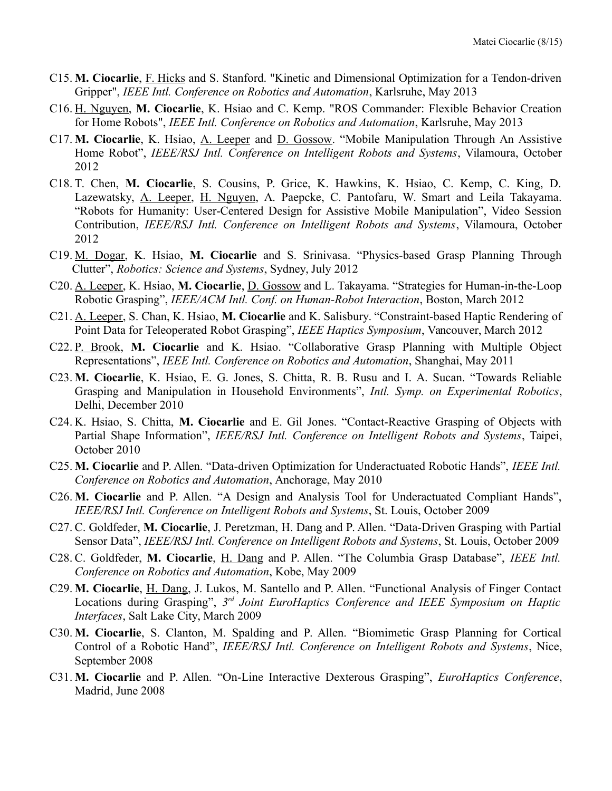- C15. **M. Ciocarlie**, F. Hicks and S. Stanford. "Kinetic and Dimensional Optimization for a Tendon-driven Gripper", *IEEE Intl. Conference on Robotics and Automation*, Karlsruhe, May 2013
- C16. H. Nguyen, **M. Ciocarlie**, K. Hsiao and C. Kemp. "ROS Commander: Flexible Behavior Creation for Home Robots", *IEEE Intl. Conference on Robotics and Automation*, Karlsruhe, May 2013
- C17. **M. Ciocarlie**, K. Hsiao, A. Leeper and D. Gossow. "Mobile Manipulation Through An Assistive Home Robot", *IEEE/RSJ Intl. Conference on Intelligent Robots and Systems*, Vilamoura, October 2012
- C18. T. Chen, **M. Ciocarlie**, S. Cousins, P. Grice, K. Hawkins, K. Hsiao, C. Kemp, C. King, D. Lazewatsky, A. Leeper, H. Nguyen, A. Paepcke, C. Pantofaru, W. Smart and Leila Takayama. "Robots for Humanity: User-Centered Design for Assistive Mobile Manipulation", Video Session Contribution, *IEEE/RSJ Intl. Conference on Intelligent Robots and Systems*, Vilamoura, October 2012
- C19. M. Dogar, K. Hsiao, **M. Ciocarlie** and S. Srinivasa. "Physics-based Grasp Planning Through Clutter", *Robotics: Science and Systems*, Sydney, July 2012
- C20. A. Leeper, K. Hsiao, **M. Ciocarlie**, D. Gossow and L. Takayama. "Strategies for Human-in-the-Loop Robotic Grasping", *IEEE/ACM Intl. Conf. on Human-Robot Interaction*, Boston, March 2012
- C21. A. Leeper, S. Chan, K. Hsiao, **M. Ciocarlie** and K. Salisbury. "Constraint-based Haptic Rendering of Point Data for Teleoperated Robot Grasping", *IEEE Haptics Symposium*, Vancouver, March 2012
- C22. P. Brook, **M. Ciocarlie** and K. Hsiao. "Collaborative Grasp Planning with Multiple Object Representations", *IEEE Intl. Conference on Robotics and Automation*, Shanghai, May 2011
- C23. **M. Ciocarlie**, K. Hsiao, E. G. Jones, S. Chitta, R. B. Rusu and I. A. Sucan. "Towards Reliable Grasping and Manipulation in Household Environments", *Intl. Symp. on Experimental Robotics*, Delhi, December 2010
- C24. K. Hsiao, S. Chitta, **M. Ciocarlie** and E. Gil Jones. "Contact-Reactive Grasping of Objects with Partial Shape Information", *IEEE/RSJ Intl. Conference on Intelligent Robots and Systems*, Taipei, October 2010
- C25. **M. Ciocarlie** and P. Allen. "Data-driven Optimization for Underactuated Robotic Hands", *IEEE Intl. Conference on Robotics and Automation*, Anchorage, May 2010
- C26. **M. Ciocarlie** and P. Allen. "A Design and Analysis Tool for Underactuated Compliant Hands", *IEEE/RSJ Intl. Conference on Intelligent Robots and Systems*, St. Louis, October 2009
- C27. C. Goldfeder, **M. Ciocarlie**, J. Peretzman, H. Dang and P. Allen. "Data-Driven Grasping with Partial Sensor Data", *IEEE/RSJ Intl. Conference on Intelligent Robots and Systems*, St. Louis, October 2009
- C28. C. Goldfeder, **M. Ciocarlie**, H. Dang and P. Allen. "The Columbia Grasp Database", *IEEE Intl. Conference on Robotics and Automation*, Kobe, May 2009
- C29. **M. Ciocarlie**, H. Dang, J. Lukos, M. Santello and P. Allen. "Functional Analysis of Finger Contact Locations during Grasping", *3 rd Joint EuroHaptics Conference and IEEE Symposium on Haptic Interfaces*, Salt Lake City, March 2009
- C30. **M. Ciocarlie**, S. Clanton, M. Spalding and P. Allen. "Biomimetic Grasp Planning for Cortical Control of a Robotic Hand", *IEEE/RSJ Intl. Conference on Intelligent Robots and Systems*, Nice, September 2008
- C31. **M. Ciocarlie** and P. Allen. "On-Line Interactive Dexterous Grasping", *EuroHaptics Conference*, Madrid, June 2008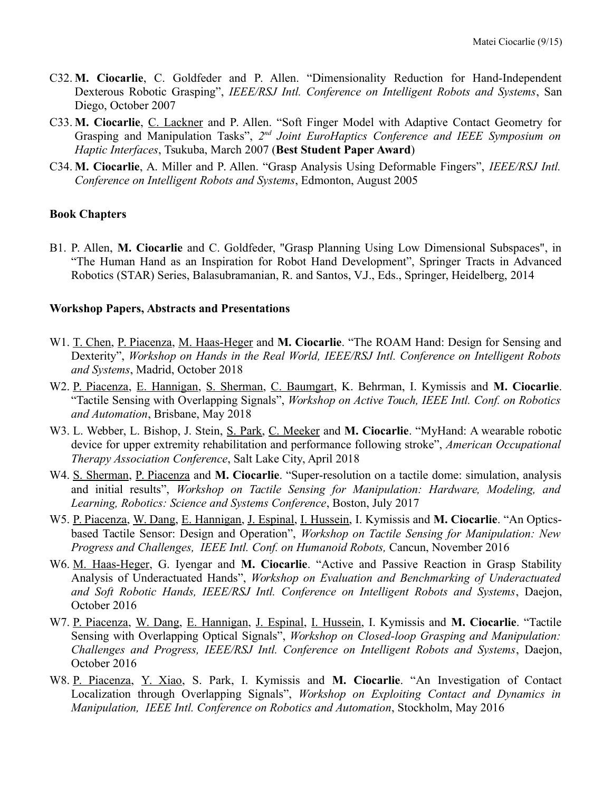- C32. **M. Ciocarlie**, C. Goldfeder and P. Allen. "Dimensionality Reduction for Hand-Independent Dexterous Robotic Grasping", *IEEE/RSJ Intl. Conference on Intelligent Robots and Systems*, San Diego, October 2007
- C33. **M. Ciocarlie**, C. Lackner and P. Allen. "Soft Finger Model with Adaptive Contact Geometry for Grasping and Manipulation Tasks", 2<sup>nd</sup> Joint EuroHaptics Conference and IEEE Symposium on *Haptic Interfaces*, Tsukuba, March 2007 (**Best Student Paper Award**)
- C34. **M. Ciocarlie**, A. Miller and P. Allen. "Grasp Analysis Using Deformable Fingers", *IEEE/RSJ Intl. Conference on Intelligent Robots and Systems*, Edmonton, August 2005

#### **Book Chapters**

B1. P. Allen, **M. Ciocarlie** and C. Goldfeder, "Grasp Planning Using Low Dimensional Subspaces", in "The Human Hand as an Inspiration for Robot Hand Development", Springer Tracts in Advanced Robotics (STAR) Series, Balasubramanian, R. and Santos, V.J., Eds., Springer, Heidelberg, 2014

#### **Workshop Papers, Abstracts and Presentations**

- W1. T. Chen, P. Piacenza, M. Haas-Heger and **M. Ciocarlie**. "The ROAM Hand: Design for Sensing and Dexterity", *Workshop on Hands in the Real World, IEEE/RSJ Intl. Conference on Intelligent Robots and Systems*, Madrid, October 2018
- W2. P. Piacenza, E. Hannigan, S. Sherman, C. Baumgart, K. Behrman, I. Kymissis and **M. Ciocarlie**. "Tactile Sensing with Overlapping Signals", *Workshop on Active Touch, IEEE Intl. Conf. on Robotics and Automation*, Brisbane, May 2018
- W3. L. Webber, L. Bishop, J. Stein, S. Park, C. Meeker and **M. Ciocarlie**. "MyHand: A wearable robotic device for upper extremity rehabilitation and performance following stroke", *American Occupational Therapy Association Conference*, Salt Lake City, April 2018
- W4. S. Sherman, P. Piacenza and **M. Ciocarlie**. "Super-resolution on a tactile dome: simulation, analysis and initial results", *Workshop on Tactile Sensing for Manipulation: Hardware, Modeling, and Learning, Robotics: Science and Systems Conference*, Boston, July 2017
- W5. P. Piacenza, W. Dang, E. Hannigan, J. Espinal, I. Hussein, I. Kymissis and **M. Ciocarlie**. "An Opticsbased Tactile Sensor: Design and Operation", *Workshop on Tactile Sensing for Manipulation: New Progress and Challenges, IEEE Intl. Conf. on Humanoid Robots,* Cancun, November 2016
- W6. M. Haas-Heger, G. Iyengar and **M. Ciocarlie**. "Active and Passive Reaction in Grasp Stability Analysis of Underactuated Hands", *Workshop on Evaluation and Benchmarking of Underactuated and Soft Robotic Hands, IEEE/RSJ Intl. Conference on Intelligent Robots and Systems*, Daejon, October 2016
- W7. P. Piacenza, W. Dang, E. Hannigan, J. Espinal, I. Hussein, I. Kymissis and **M. Ciocarlie**. "Tactile Sensing with Overlapping Optical Signals", *Workshop on Closed-loop Grasping and Manipulation: Challenges and Progress, IEEE/RSJ Intl. Conference on Intelligent Robots and Systems*, Daejon, October 2016
- W8. P. Piacenza, Y. Xiao, S. Park, I. Kymissis and **M. Ciocarlie**. "An Investigation of Contact Localization through Overlapping Signals", *Workshop on Exploiting Contact and Dynamics in Manipulation, IEEE Intl. Conference on Robotics and Automation*, Stockholm, May 2016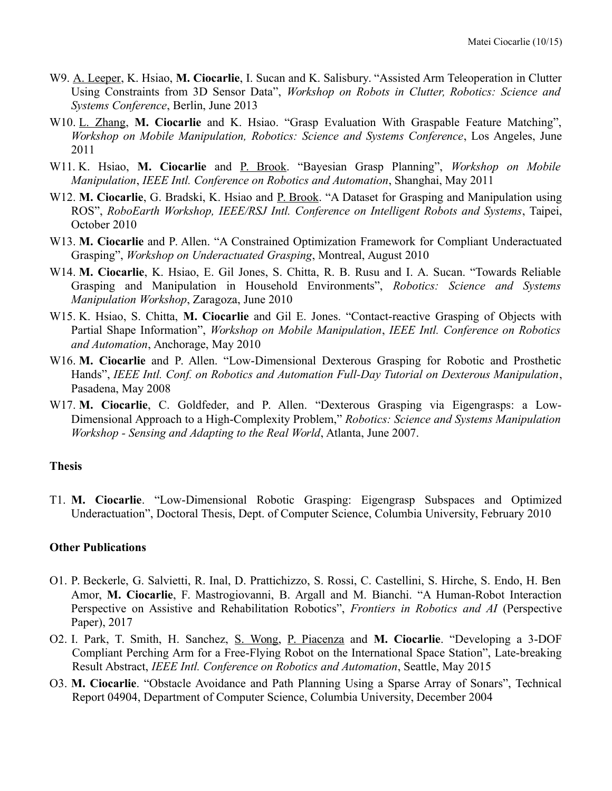- W9. A. Leeper, K. Hsiao, **M. Ciocarlie**, I. Sucan and K. Salisbury. "Assisted Arm Teleoperation in Clutter Using Constraints from 3D Sensor Data", *Workshop on Robots in Clutter, Robotics: Science and Systems Conference*, Berlin, June 2013
- W10. L. Zhang, **M. Ciocarlie** and K. Hsiao. "Grasp Evaluation With Graspable Feature Matching", *Workshop on Mobile Manipulation, Robotics: Science and Systems Conference*, Los Angeles, June 2011
- W11. K. Hsiao, **M. Ciocarlie** and P. Brook. "Bayesian Grasp Planning", *Workshop on Mobile Manipulation*, *IEEE Intl. Conference on Robotics and Automation*, Shanghai, May 2011
- W12. M. Ciocarlie, G. Bradski, K. Hsiao and P. Brook. "A Dataset for Grasping and Manipulation using ROS", *RoboEarth Workshop, IEEE/RSJ Intl. Conference on Intelligent Robots and Systems*, Taipei, October 2010
- W13. **M. Ciocarlie** and P. Allen. "A Constrained Optimization Framework for Compliant Underactuated Grasping", *Workshop on Underactuated Grasping*, Montreal, August 2010
- W14. **M. Ciocarlie**, K. Hsiao, E. Gil Jones, S. Chitta, R. B. Rusu and I. A. Sucan. "Towards Reliable Grasping and Manipulation in Household Environments", *Robotics: Science and Systems Manipulation Workshop*, Zaragoza, June 2010
- W15. K. Hsiao, S. Chitta, **M. Ciocarlie** and Gil E. Jones. "Contact-reactive Grasping of Objects with Partial Shape Information", *Workshop on Mobile Manipulation*, *IEEE Intl. Conference on Robotics and Automation*, Anchorage, May 2010
- W16. **M. Ciocarlie** and P. Allen. "Low-Dimensional Dexterous Grasping for Robotic and Prosthetic Hands", *IEEE Intl. Conf. on Robotics and Automation Full-Day Tutorial on Dexterous Manipulation*, Pasadena, May 2008
- W17. **M. Ciocarlie**, C. Goldfeder, and P. Allen. "Dexterous Grasping via Eigengrasps: a Low-Dimensional Approach to a High-Complexity Problem," *Robotics: Science and Systems Manipulation Workshop - Sensing and Adapting to the Real World*, Atlanta, June 2007.

#### **Thesis**

T1. **M. Ciocarlie**. "Low-Dimensional Robotic Grasping: Eigengrasp Subspaces and Optimized Underactuation", Doctoral Thesis, Dept. of Computer Science, Columbia University, February 2010

#### **Other Publications**

- O1. P. Beckerle, G. Salvietti, R. Inal, D. Prattichizzo, S. Rossi, C. Castellini, S. Hirche, S. Endo, H. Ben Amor, **M. Ciocarlie**, F. Mastrogiovanni, B. Argall and M. Bianchi. "A Human-Robot Interaction Perspective on Assistive and Rehabilitation Robotics", *Frontiers in Robotics and AI* (Perspective Paper), 2017
- O2. I. Park, T. Smith, H. Sanchez, S. Wong, P. Piacenza and **M. Ciocarlie**. "Developing a 3-DOF Compliant Perching Arm for a Free-Flying Robot on the International Space Station", Late-breaking Result Abstract, *IEEE Intl. Conference on Robotics and Automation*, Seattle, May 2015
- O3. **M. Ciocarlie**. "Obstacle Avoidance and Path Planning Using a Sparse Array of Sonars", Technical Report 04904, Department of Computer Science, Columbia University, December 2004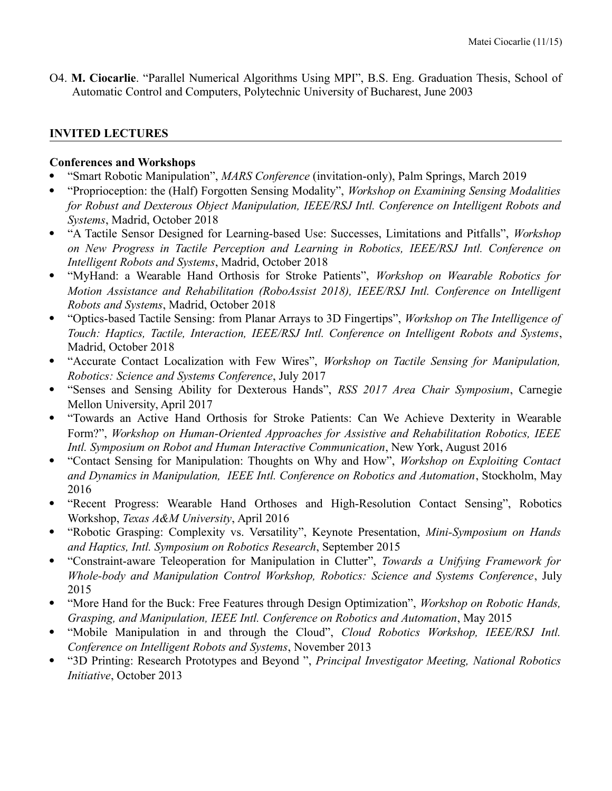O4. **M. Ciocarlie**. "Parallel Numerical Algorithms Using MPI", B.S. Eng. Graduation Thesis, School of Automatic Control and Computers, Polytechnic University of Bucharest, June 2003

### **INVITED LECTURES**

#### **Conferences and Workshops**

- "Smart Robotic Manipulation", *MARS Conference* (invitation-only), Palm Springs, March 2019
- "Proprioception: the (Half) Forgotten Sensing Modality", *Workshop on Examining Sensing Modalities for Robust and Dexterous Object Manipulation, IEEE/RSJ Intl. Conference on Intelligent Robots and Systems*, Madrid, October 2018
- "A Tactile Sensor Designed for Learning-based Use: Successes, Limitations and Pitfalls", *Workshop on New Progress in Tactile Perception and Learning in Robotics, IEEE/RSJ Intl. Conference on Intelligent Robots and Systems*, Madrid, October 2018
- "MyHand: a Wearable Hand Orthosis for Stroke Patients", *Workshop on Wearable Robotics for Motion Assistance and Rehabilitation (RoboAssist 2018), IEEE/RSJ Intl. Conference on Intelligent Robots and Systems*, Madrid, October 2018
- "Optics-based Tactile Sensing: from Planar Arrays to 3D Fingertips", *Workshop on The Intelligence of Touch: Haptics, Tactile, Interaction, IEEE/RSJ Intl. Conference on Intelligent Robots and Systems*, Madrid, October 2018
- "Accurate Contact Localization with Few Wires", *Workshop on Tactile Sensing for Manipulation, Robotics: Science and Systems Conference*, July 2017
- "Senses and Sensing Ability for Dexterous Hands", *RSS 2017 Area Chair Symposium*, Carnegie Mellon University, April 2017
- "Towards an Active Hand Orthosis for Stroke Patients: Can We Achieve Dexterity in Wearable Form?", *Workshop on Human-Oriented Approaches for Assistive and Rehabilitation Robotics, IEEE Intl. Symposium on Robot and Human Interactive Communication*, New York, August 2016
- "Contact Sensing for Manipulation: Thoughts on Why and How", *Workshop on Exploiting Contact and Dynamics in Manipulation, IEEE Intl. Conference on Robotics and Automation*, Stockholm, May 2016
- "Recent Progress: Wearable Hand Orthoses and High-Resolution Contact Sensing", Robotics Workshop, *Texas A&M University*, April 2016
- "Robotic Grasping: Complexity vs. Versatility", Keynote Presentation, *Mini-Symposium on Hands and Haptics, Intl. Symposium on Robotics Research*, September 2015
- "Constraint-aware Teleoperation for Manipulation in Clutter", *Towards a Unifying Framework for Whole-body and Manipulation Control Workshop, Robotics: Science and Systems Conference*, July 2015
- "More Hand for the Buck: Free Features through Design Optimization", *Workshop on Robotic Hands, Grasping, and Manipulation, IEEE Intl. Conference on Robotics and Automation*, May 2015
- "Mobile Manipulation in and through the Cloud", *Cloud Robotics Workshop, IEEE/RSJ Intl. Conference on Intelligent Robots and Systems*, November 2013
- "3D Printing: Research Prototypes and Beyond ", *Principal Investigator Meeting, National Robotics Initiative*, October 2013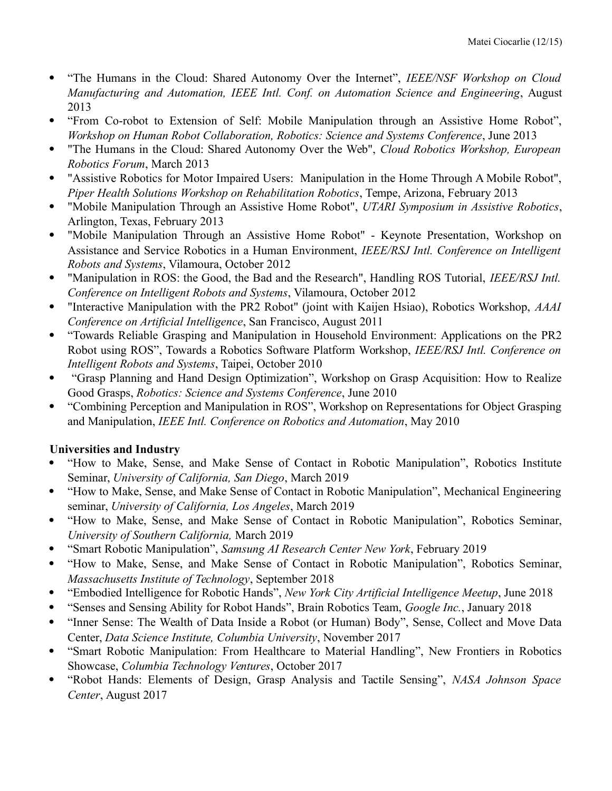- "The Humans in the Cloud: Shared Autonomy Over the Internet", *IEEE/NSF Workshop on Cloud Manufacturing and Automation, IEEE Intl. Conf. on Automation Science and Engineering*, August 2013
- "From Co-robot to Extension of Self: Mobile Manipulation through an Assistive Home Robot", *Workshop on Human Robot Collaboration, Robotics: Science and Systems Conference*, June 2013
- "The Humans in the Cloud: Shared Autonomy Over the Web", *Cloud Robotics Workshop, European Robotics Forum*, March 2013
- "Assistive Robotics for Motor Impaired Users: Manipulation in the Home Through A Mobile Robot", *Piper Health Solutions Workshop on Rehabilitation Robotics*, Tempe, Arizona, February 2013
- "Mobile Manipulation Through an Assistive Home Robot", *UTARI Symposium in Assistive Robotics*, Arlington, Texas, February 2013
- "Mobile Manipulation Through an Assistive Home Robot" Keynote Presentation, Workshop on Assistance and Service Robotics in a Human Environment, *IEEE/RSJ Intl. Conference on Intelligent Robots and Systems*, Vilamoura, October 2012
- "Manipulation in ROS: the Good, the Bad and the Research", Handling ROS Tutorial, *IEEE/RSJ Intl. Conference on Intelligent Robots and Systems*, Vilamoura, October 2012
- "Interactive Manipulation with the PR2 Robot" (joint with Kaijen Hsiao), Robotics Workshop, *AAAI Conference on Artificial Intelligence*, San Francisco, August 2011
- "Towards Reliable Grasping and Manipulation in Household Environment: Applications on the PR2 Robot using ROS", Towards a Robotics Software Platform Workshop, *IEEE/RSJ Intl. Conference on Intelligent Robots and Systems*, Taipei, October 2010
- "Grasp Planning and Hand Design Optimization", Workshop on Grasp Acquisition: How to Realize Good Grasps, *Robotics: Science and Systems Conference*, June 2010
- "Combining Perception and Manipulation in ROS", Workshop on Representations for Object Grasping and Manipulation, *IEEE Intl. Conference on Robotics and Automation*, May 2010

# **Universities and Industry**

- "How to Make, Sense, and Make Sense of Contact in Robotic Manipulation", Robotics Institute Seminar, *University of California, San Diego*, March 2019
- "How to Make, Sense, and Make Sense of Contact in Robotic Manipulation", Mechanical Engineering seminar, *University of California, Los Angeles*, March 2019
- "How to Make, Sense, and Make Sense of Contact in Robotic Manipulation", Robotics Seminar, *University of Southern California,* March 2019
- "Smart Robotic Manipulation", *Samsung AI Research Center New York*, February 2019
- "How to Make, Sense, and Make Sense of Contact in Robotic Manipulation", Robotics Seminar, *Massachusetts Institute of Technology*, September 2018
- "Embodied Intelligence for Robotic Hands", *New York City Artificial Intelligence Meetup*, June 2018
- "Senses and Sensing Ability for Robot Hands", Brain Robotics Team, *Google Inc.*, January 2018
- "Inner Sense: The Wealth of Data Inside a Robot (or Human) Body", Sense, Collect and Move Data Center, *Data Science Institute, Columbia University*, November 2017
- "Smart Robotic Manipulation: From Healthcare to Material Handling", New Frontiers in Robotics Showcase, *Columbia Technology Ventures*, October 2017
- "Robot Hands: Elements of Design, Grasp Analysis and Tactile Sensing", *NASA Johnson Space Center*, August 2017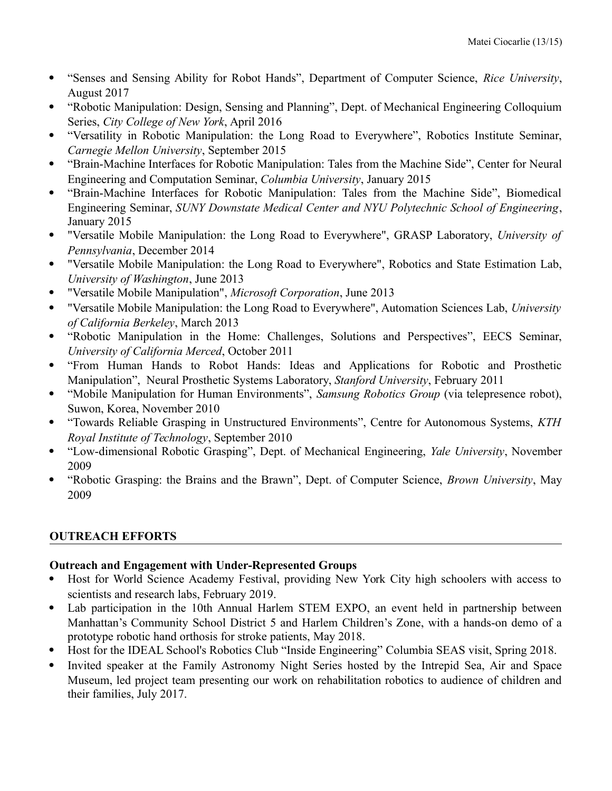- "Senses and Sensing Ability for Robot Hands", Department of Computer Science, *Rice University*, August 2017
- "Robotic Manipulation: Design, Sensing and Planning", Dept. of Mechanical Engineering Colloquium Series, *City College of New York*, April 2016
- "Versatility in Robotic Manipulation: the Long Road to Everywhere", Robotics Institute Seminar, *Carnegie Mellon University*, September 2015
- "Brain-Machine Interfaces for Robotic Manipulation: Tales from the Machine Side", Center for Neural Engineering and Computation Seminar, *Columbia University*, January 2015
- "Brain-Machine Interfaces for Robotic Manipulation: Tales from the Machine Side", Biomedical Engineering Seminar, *SUNY Downstate Medical Center and NYU Polytechnic School of Engineering*, January 2015
- "Versatile Mobile Manipulation: the Long Road to Everywhere", GRASP Laboratory, *University of Pennsylvania*, December 2014
- "Versatile Mobile Manipulation: the Long Road to Everywhere", Robotics and State Estimation Lab, *University of Washington*, June 2013
- "Versatile Mobile Manipulation", *Microsoft Corporation*, June 2013
- "Versatile Mobile Manipulation: the Long Road to Everywhere", Automation Sciences Lab, *University of California Berkeley*, March 2013
- "Robotic Manipulation in the Home: Challenges, Solutions and Perspectives", EECS Seminar, *University of California Merced*, October 2011
- "From Human Hands to Robot Hands: Ideas and Applications for Robotic and Prosthetic Manipulation", Neural Prosthetic Systems Laboratory, *Stanford University*, February 2011
- "Mobile Manipulation for Human Environments", *Samsung Robotics Group* (via telepresence robot), Suwon, Korea, November 2010
- "Towards Reliable Grasping in Unstructured Environments", Centre for Autonomous Systems, *KTH Royal Institute of Technology*, September 2010
- "Low-dimensional Robotic Grasping", Dept. of Mechanical Engineering, *Yale University*, November 2009
- "Robotic Grasping: the Brains and the Brawn", Dept. of Computer Science, *Brown University*, May 2009

# **OUTREACH EFFORTS**

# **Outreach and Engagement with Under-Represented Groups**

- Host for World Science Academy Festival, providing New York City high schoolers with access to scientists and research labs, February 2019.
- Lab participation in the 10th Annual Harlem STEM EXPO, an event held in partnership between Manhattan's Community School District 5 and Harlem Children's Zone, with a hands-on demo of a prototype robotic hand orthosis for stroke patients, May 2018.
- Host for the IDEAL School's Robotics Club "Inside Engineering" Columbia SEAS visit, Spring 2018.
- Invited speaker at the Family Astronomy Night Series hosted by the Intrepid Sea, Air and Space Museum, led project team presenting our work on rehabilitation robotics to audience of children and their families, July 2017.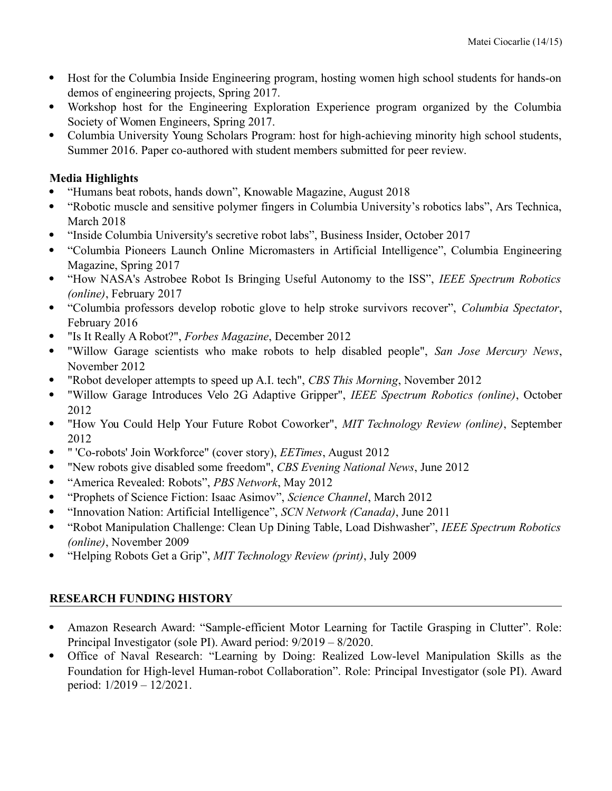- Host for the Columbia Inside Engineering program, hosting women high school students for hands-on demos of engineering projects, Spring 2017.
- Workshop host for the Engineering Exploration Experience program organized by the Columbia Society of Women Engineers, Spring 2017.
- Columbia University Young Scholars Program: host for high-achieving minority high school students, Summer 2016. Paper co-authored with student members submitted for peer review.

# **Media Highlights**

- "Humans beat robots, hands down", Knowable Magazine, August 2018
- "Robotic muscle and sensitive polymer fingers in Columbia University's robotics labs", Ars Technica, March 2018
- "Inside Columbia University's secretive robot labs", Business Insider, October 2017
- "Columbia Pioneers Launch Online Micromasters in Artificial Intelligence", Columbia Engineering Magazine, Spring 2017
- "How NASA's Astrobee Robot Is Bringing Useful Autonomy to the ISS", *IEEE Spectrum Robotics (online)*, February 2017
- "Columbia professors develop robotic glove to help stroke survivors recover", *Columbia Spectator*, February 2016
- "Is It Really A Robot?", *Forbes Magazine*, December 2012
- "Willow Garage scientists who make robots to help disabled people", *San Jose Mercury News*, November 2012
- "Robot developer attempts to speed up A.I. tech", *CBS This Morning*, November 2012
- "Willow Garage Introduces Velo 2G Adaptive Gripper", *IEEE Spectrum Robotics (online)*, October 2012
- "How You Could Help Your Future Robot Coworker", *MIT Technology Review (online)*, September 2012
- " 'Co-robots' Join Workforce" (cover story), *EETimes*, August 2012
- "New robots give disabled some freedom", *CBS Evening National News*, June 2012
- "America Revealed: Robots", *PBS Network*, May 2012
- "Prophets of Science Fiction: Isaac Asimov", *Science Channel*, March 2012
- "Innovation Nation: Artificial Intelligence", *SCN Network (Canada)*, June 2011
- "Robot Manipulation Challenge: Clean Up Dining Table, Load Dishwasher", *IEEE Spectrum Robotics (online)*, November 2009
- "Helping Robots Get a Grip", *MIT Technology Review (print)*, July 2009

# **RESEARCH FUNDING HISTORY**

- Amazon Research Award: "Sample-efficient Motor Learning for Tactile Grasping in Clutter". Role: Principal Investigator (sole PI). Award period: 9/2019 – 8/2020.
- Office of Naval Research: "Learning by Doing: Realized Low-level Manipulation Skills as the Foundation for High-level Human-robot Collaboration". Role: Principal Investigator (sole PI). Award period: 1/2019 – 12/2021.